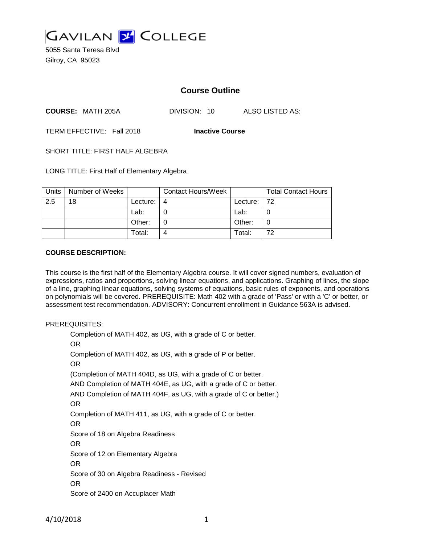

5055 Santa Teresa Blvd Gilroy, CA 95023

# **Course Outline**

**COURSE:** MATH 205A DIVISION: 10 ALSO LISTED AS:

TERM EFFECTIVE: Fall 2018 **Inactive Course**

SHORT TITLE: FIRST HALF ALGEBRA

LONG TITLE: First Half of Elementary Algebra

| Units | Number of Weeks |          | <b>Contact Hours/Week</b> |             | <b>Total Contact Hours</b> |
|-------|-----------------|----------|---------------------------|-------------|----------------------------|
| 2.5   | 18              | Lecture: | 4                         | Lecture: 72 |                            |
|       |                 | Lab:     |                           | Lab:        |                            |
|       |                 | Other:   |                           | Other:      | 0                          |
|       |                 | Total:   |                           | Total:      | 72                         |

### **COURSE DESCRIPTION:**

This course is the first half of the Elementary Algebra course. It will cover signed numbers, evaluation of expressions, ratios and proportions, solving linear equations, and applications. Graphing of lines, the slope of a line, graphing linear equations, solving systems of equations, basic rules of exponents, and operations on polynomials will be covered. PREREQUISITE: Math 402 with a grade of 'Pass' or with a 'C' or better, or assessment test recommendation. ADVISORY: Concurrent enrollment in Guidance 563A is advised.

#### PREREQUISITES:

Completion of MATH 402, as UG, with a grade of C or better. OR Completion of MATH 402, as UG, with a grade of P or better. OR (Completion of MATH 404D, as UG, with a grade of C or better. AND Completion of MATH 404E, as UG, with a grade of C or better. AND Completion of MATH 404F, as UG, with a grade of C or better.) OR Completion of MATH 411, as UG, with a grade of C or better. OR Score of 18 on Algebra Readiness OR Score of 12 on Elementary Algebra OR Score of 30 on Algebra Readiness - Revised OR Score of 2400 on Accuplacer Math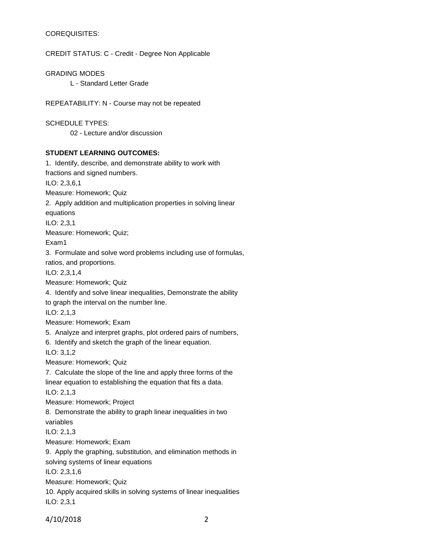### COREQUISITES:

CREDIT STATUS: C - Credit - Degree Non Applicable

GRADING MODES L - Standard Letter Grade

REPEATABILITY: N - Course may not be repeated

SCHEDULE TYPES: 02 - Lecture and/or discussion

#### **STUDENT LEARNING OUTCOMES:**

1. Identify, describe, and demonstrate ability to work with fractions and signed numbers. ILO: 2,3,6,1 Measure: Homework; Quiz 2. Apply addition and multiplication properties in solving linear equations ILO: 2,3,1 Measure: Homework; Quiz; Exam1 3. Formulate and solve word problems including use of formulas, ratios, and proportions. ILO: 2,3,1,4 Measure: Homework; Quiz 4. Identify and solve linear inequalities, Demonstrate the ability to graph the interval on the number line. ILO: 2,1,3 Measure: Homework; Exam 5. Analyze and interpret graphs, plot ordered pairs of numbers, 6. Identify and sketch the graph of the linear equation. ILO: 3,1,2 Measure: Homework; Quiz 7. Calculate the slope of the line and apply three forms of the linear equation to establishing the equation that fits a data. ILO: 2,1,3 Measure: Homework; Project 8. Demonstrate the ability to graph linear inequalities in two variables ILO: 2,1,3 Measure: Homework; Exam 9. Apply the graphing, substitution, and elimination methods in solving systems of linear equations ILO: 2,3,1,6 Measure: Homework; Quiz 10. Apply acquired skills in solving systems of linear inequalities ILO: 2,3,1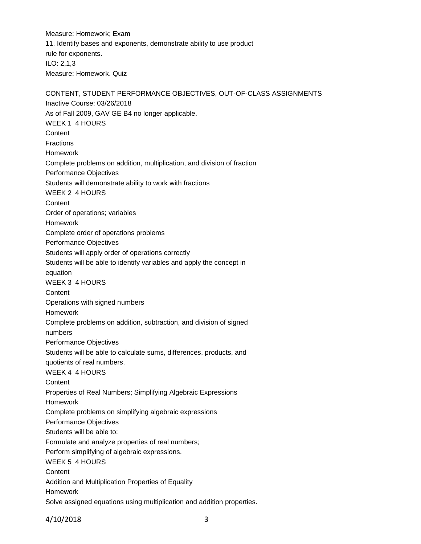Measure: Homework; Exam 11. Identify bases and exponents, demonstrate ability to use product rule for exponents. ILO: 2,1,3 Measure: Homework. Quiz

CONTENT, STUDENT PERFORMANCE OBJECTIVES, OUT-OF-CLASS ASSIGNMENTS Inactive Course: 03/26/2018 As of Fall 2009, GAV GE B4 no longer applicable. WEEK 1 4 HOURS **Content** Fractions Homework Complete problems on addition, multiplication, and division of fraction Performance Objectives Students will demonstrate ability to work with fractions WEEK 2 4 HOURS **Content** Order of operations; variables Homework Complete order of operations problems Performance Objectives Students will apply order of operations correctly Students will be able to identify variables and apply the concept in equation WEEK 3 4 HOURS **Content** Operations with signed numbers Homework Complete problems on addition, subtraction, and division of signed numbers Performance Objectives Students will be able to calculate sums, differences, products, and quotients of real numbers. WEEK 4 4 HOURS **Content** Properties of Real Numbers; Simplifying Algebraic Expressions Homework Complete problems on simplifying algebraic expressions Performance Objectives Students will be able to: Formulate and analyze properties of real numbers; Perform simplifying of algebraic expressions. WEEK 5 4 HOURS **Content** Addition and Multiplication Properties of Equality Homework Solve assigned equations using multiplication and addition properties.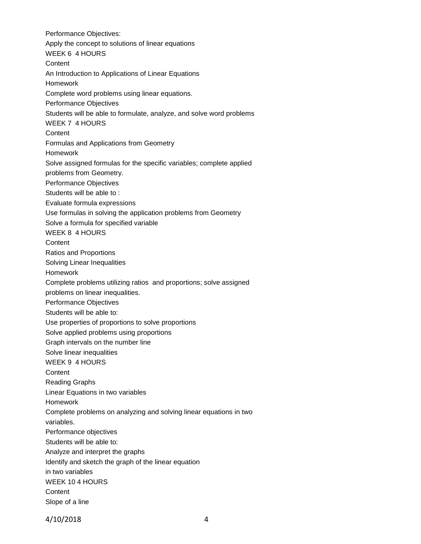Performance Objectives: Apply the concept to solutions of linear equations WEEK 6 4 HOURS **Content** An Introduction to Applications of Linear Equations Homework Complete word problems using linear equations. Performance Objectives Students will be able to formulate, analyze, and solve word problems WEEK 7 4 HOURS **Content** Formulas and Applications from Geometry Homework Solve assigned formulas for the specific variables; complete applied problems from Geometry. Performance Objectives Students will be able to : Evaluate formula expressions Use formulas in solving the application problems from Geometry Solve a formula for specified variable WEEK 8 4 HOURS **Content** Ratios and Proportions Solving Linear Inequalities Homework Complete problems utilizing ratios and proportions; solve assigned problems on linear inequalities. Performance Objectives Students will be able to: Use properties of proportions to solve proportions Solve applied problems using proportions Graph intervals on the number line Solve linear inequalities WEEK 9 4 HOURS **Content** Reading Graphs Linear Equations in two variables Homework Complete problems on analyzing and solving linear equations in two variables. Performance objectives Students will be able to: Analyze and interpret the graphs Identify and sketch the graph of the linear equation in two variables WEEK 10 4 HOURS **Content** Slope of a line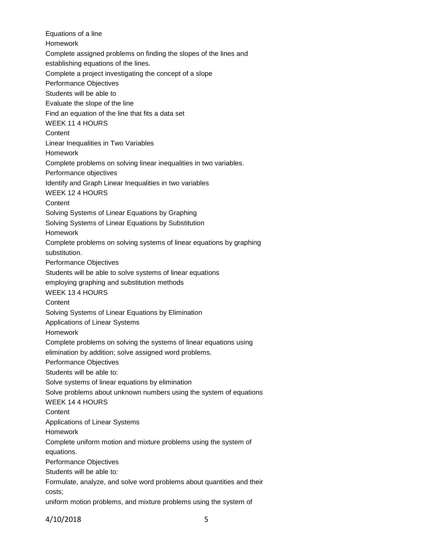Equations of a line Homework Complete assigned problems on finding the slopes of the lines and establishing equations of the lines. Complete a project investigating the concept of a slope Performance Objectives Students will be able to Evaluate the slope of the line Find an equation of the line that fits a data set WEEK 11 4 HOURS **Content** Linear Inequalities in Two Variables Homework Complete problems on solving linear inequalities in two variables. Performance objectives Identify and Graph Linear Inequalities in two variables WEEK 12 4 HOURS **Content** Solving Systems of Linear Equations by Graphing Solving Systems of Linear Equations by Substitution Homework Complete problems on solving systems of linear equations by graphing substitution. Performance Objectives Students will be able to solve systems of linear equations employing graphing and substitution methods WEEK 13 4 HOURS **Content** Solving Systems of Linear Equations by Elimination Applications of Linear Systems Homework Complete problems on solving the systems of linear equations using elimination by addition; solve assigned word problems. Performance Objectives Students will be able to: Solve systems of linear equations by elimination Solve problems about unknown numbers using the system of equations WEEK 14 4 HOURS **Content** Applications of Linear Systems Homework Complete uniform motion and mixture problems using the system of equations. Performance Objectives Students will be able to: Formulate, analyze, and solve word problems about quantities and their costs; uniform motion problems, and mixture problems using the system of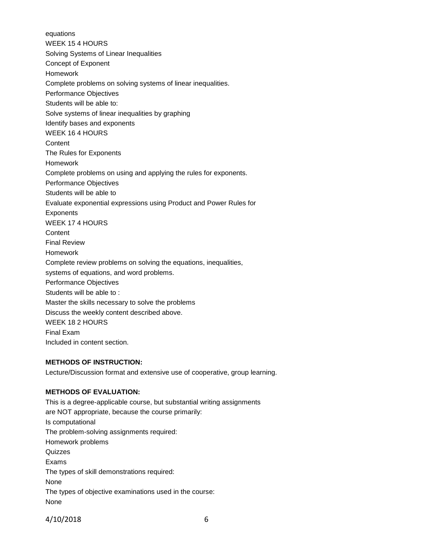equations WEEK 15 4 HOURS Solving Systems of Linear Inequalities Concept of Exponent Homework Complete problems on solving systems of linear inequalities. Performance Objectives Students will be able to: Solve systems of linear inequalities by graphing Identify bases and exponents WEEK 16 4 HOURS **Content** The Rules for Exponents Homework Complete problems on using and applying the rules for exponents. Performance Objectives Students will be able to Evaluate exponential expressions using Product and Power Rules for **Exponents** WEEK 17 4 HOURS **Content** Final Review Homework Complete review problems on solving the equations, inequalities, systems of equations, and word problems. Performance Objectives Students will be able to : Master the skills necessary to solve the problems Discuss the weekly content described above. WEEK 18 2 HOURS Final Exam Included in content section.

## **METHODS OF INSTRUCTION:**

Lecture/Discussion format and extensive use of cooperative, group learning.

### **METHODS OF EVALUATION:**

This is a degree-applicable course, but substantial writing assignments are NOT appropriate, because the course primarily: Is computational The problem-solving assignments required: Homework problems **Quizzes** Exams The types of skill demonstrations required: None The types of objective examinations used in the course: None